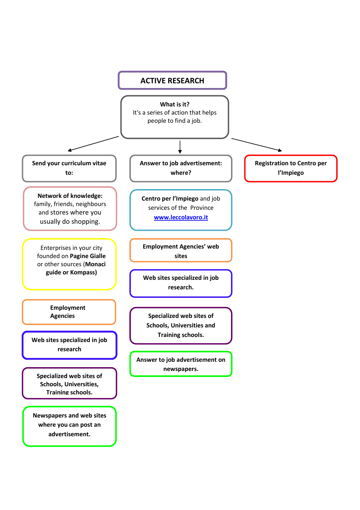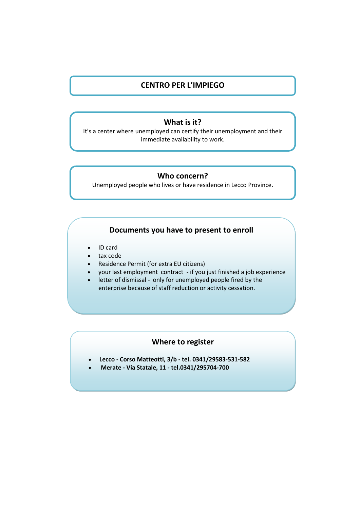# **CENTRO PER L'IMPIEGO**

### **What is it?**

It's a center where unemployed can certify their unemployment and their immediate availability to work.

# **Who concern?**

Unemployed people who lives or have residence in Lecco Province.

### **Documents you have to present to enroll**

- ID card
- tax code
- Residence Permit (for extra EU citizens)
- your last employment contract if you just finished a job experience
- letter of dismissal only for unemployed people fired by the enterprise because of staff reduction or activity cessation.

# **Where to register**

- **Lecco - Corso Matteotti, 3/b - tel. 0341/29583-531-582**
- **Merate - Via Statale, 11 - tel.0341/295704-700**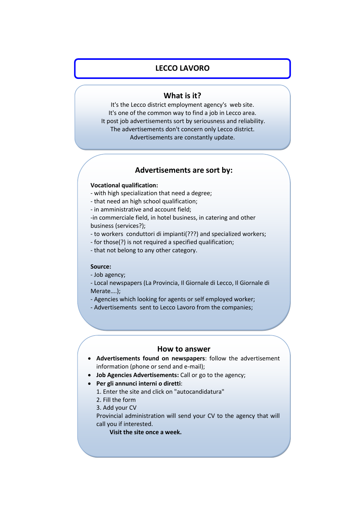# **LECCO LAVORO**

## **What is it?**

It's the Lecco district employment agency's web site. It's one of the common way to find a job in Lecco area. It post job advertisements sort by seriousness and reliability. The advertisements don't concern only Lecco district. Advertisements are constantly update.

# **Advertisements are sort by:**

#### **Vocational qualification:**

- with high specialization that need a degree;
- that need an high school qualification;
- in amministrative and account field;

-in commerciale field, in hotel business, in catering and other business (services?);

- to workers conduttori di impianti(???) and specialized workers;
- for those(?) is not required a specified qualification;
- that not belong to any other category.

#### **Source:**

- Job agency;
- Local newspapers (La Provincia, Il Giornale di Lecco, Il Giornale di Merate….);
- Agencies which looking for agents or self employed worker;
- Advertisements sent to Lecco Lavoro from the companies;

# **How to answer**

- **Advertisements found on newspapers**: follow the advertisement information (phone or send and e-mail);
- **Job Agencies Advertisements:** Call or go to the agency;
- **Per gli annunci interni o diretti**:
	- 1. Enter the site and click on "autocandidatura"
	- 2. Fill the form
	- 3. Add your CV

Provincial administration will send your CV to the agency that will call you if interested.

**Visit the site once a week.**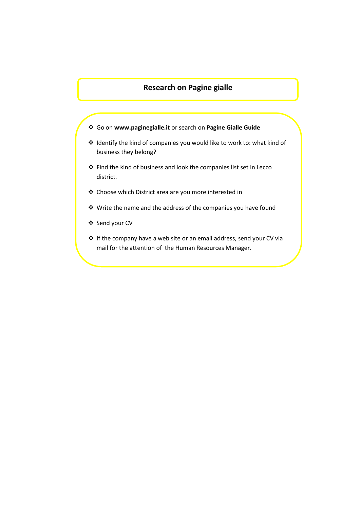# **Research on Pagine gialle**

- Go on **www.paginegialle.it** or search on **Pagine Gialle Guide**
- Identify the kind of companies you would like to work to: what kind of business they belong?
- Find the kind of business and look the companies list set in Lecco district.
- Choose which District area are you more interested in
- Write the name and the address of the companies you have found
- ❖ Send your CV
- If the company have a web site or an email address, send your CV via mail for the attention of the Human Resources Manager.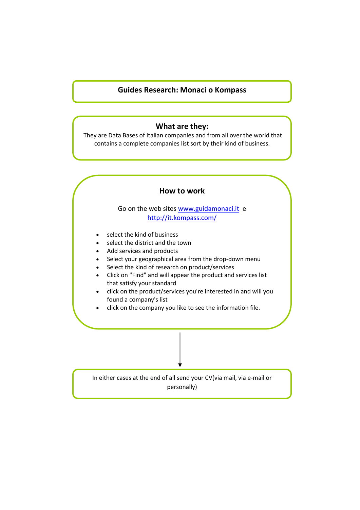# **Guides Research: Monaci o Kompass**

### **What are they:**

They are Data Bases of Italian companies and from all over the world that contains a complete companies list sort by their kind of business.

## **How to work**

# Go on the web sites [www.guidamonaci.it](http://www.guidamonaci.it/) e <http://it.kompass.com/>

- select the kind of business
- select the district and the town
- Add services and products
- Select your geographical area from the drop-down menu
- Select the kind of research on product/services
- Click on "Find" and will appear the product and services list that satisfy your standard
- click on the product/services you're interested in and will you found a company's list
- click on the company you like to see the information file.

In either cases at the end of all send your CV(via mail, via e-mail or personally)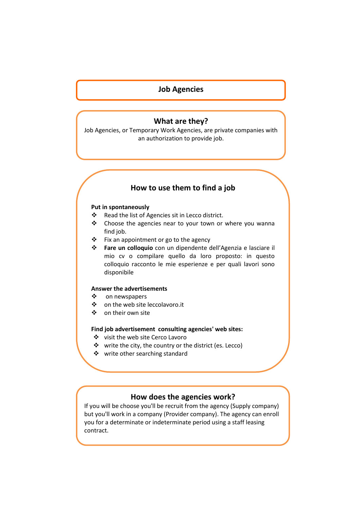# **Job Agencies**

### **What are they?**

Job Agencies, or Temporary Work Agencies, are private companies with an authorization to provide job.

# **How to use them to find a job**

#### **Put in spontaneously**

- \* Read the list of Agencies sit in Lecco district.
- \* Choose the agencies near to your town or where you wanna find job.
- $\div$  Fix an appointment or go to the agency
- **Fare un colloquio** con un dipendente dell'Agenzia e lasciare il mio cv o compilare quello da loro proposto: in questo colloquio racconto le mie esperienze e per quali lavori sono disponibile

#### **Answer the advertisements**

- ❖ on newspapers
- on the web site leccolavoro.it
- ❖ on their own site

#### **Find job advertisement consulting agencies' web sites:**

- ❖ visit the web site Cerco Lavoro
	- ❖ write the city, the country or the district (es. Lecco)
	- ❖ write other searching standard

## **How does the agencies work?**

If you will be choose you'll be recruit from the agency (Supply company) but you'll work in a company (Provider company). The agency can enroll you for a determinate or indeterminate period using a staff leasing contract.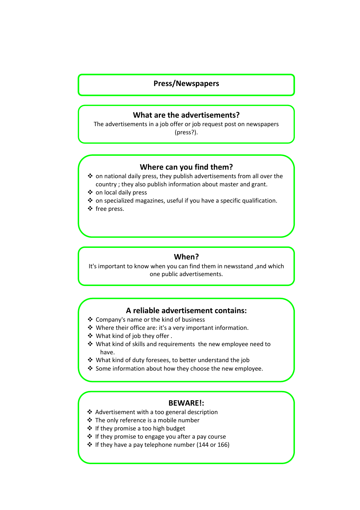# **Press/Newspapers**

## **What are the advertisements?**

The advertisements in a job offer or job request post on newspapers (press?).

## **Where can you find them?**

- $\cdot$  on national daily press, they publish advertisements from all over the country ; they also publish information about master and grant.
- ❖ on local daily press
- $\triangleq$  on specialized magazines, useful if you have a specific qualification.
- ❖ free press.

# **When?**

It's important to know when you can find them in newsstand ,and which one public advertisements.

# **A reliable advertisement contains:**

- Company's name or the kind of business
- Where their office are: it's a very important information.
- What kind of job they offer .
- What kind of skills and requirements the new employee need to have.
- What kind of duty foresees, to better understand the job
- ❖ Some information about how they choose the new employee.

### **BEWARE!:**

- Advertisement with a too general description
- The only reference is a mobile number
- ❖ If they promise a too high budget
- $\div$  If they promise to engage you after a pay course
- $\div$  If they have a pay telephone number (144 or 166)